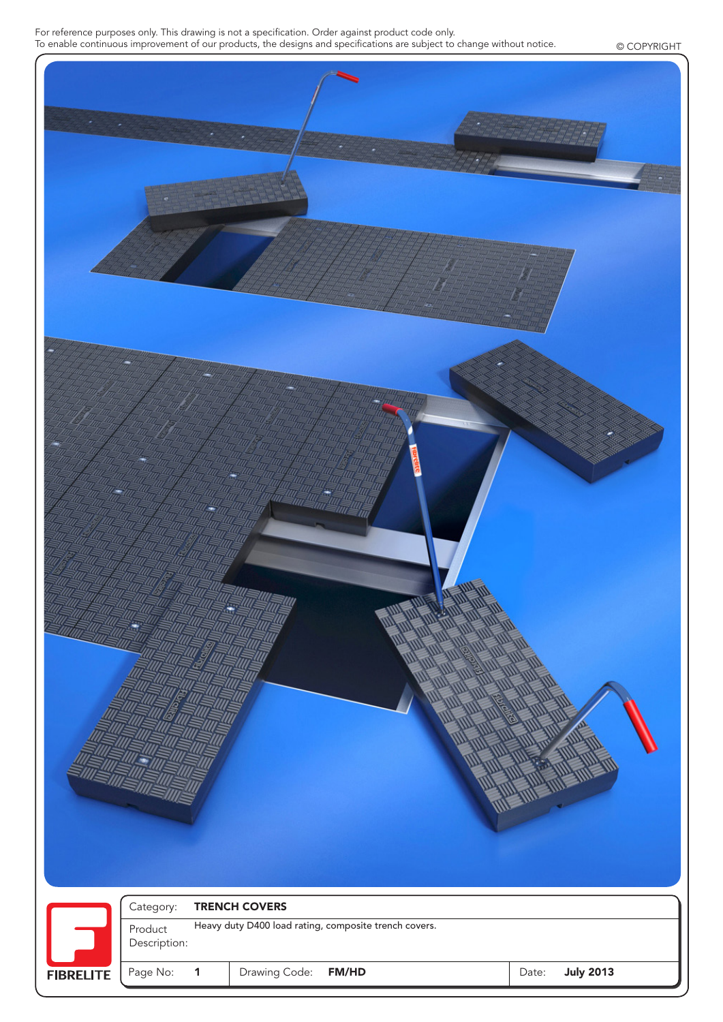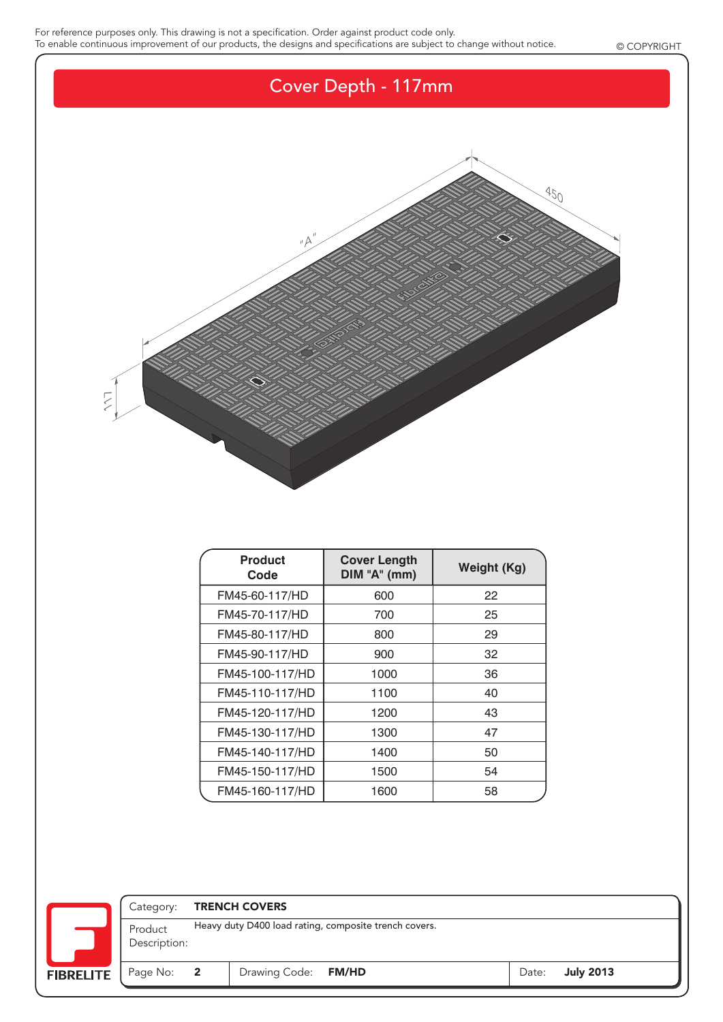

| <b>Product</b><br>Code | <b>Cover Length</b><br>DIM "A" (mm) | Weight (Kg) |
|------------------------|-------------------------------------|-------------|
| FM45-60-117/HD         | 600                                 | 22          |
| FM45-70-117/HD         | 700                                 | 25          |
| FM45-80-117/HD         | 800                                 | 29          |
| FM45-90-117/HD         | 900                                 | 32          |
| FM45-100-117/HD        | 1000                                | 36          |
| FM45-110-117/HD        | 1100                                | 40          |
| FM45-120-117/HD        | 1200                                | 43          |
| FM45-130-117/HD        | 1300                                | 47          |
| FM45-140-117/HD        | 1400                                | 50          |
| FM45-150-117/HD        | 1500                                | 54          |
| FM45-160-117/HD        | 1600                                | 58          |

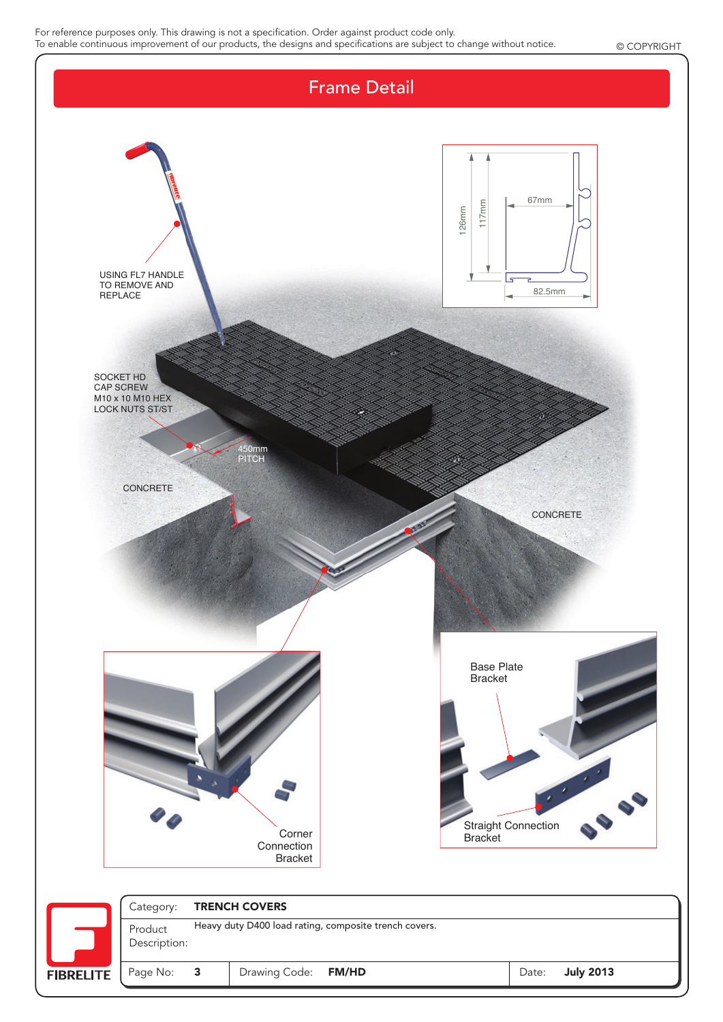